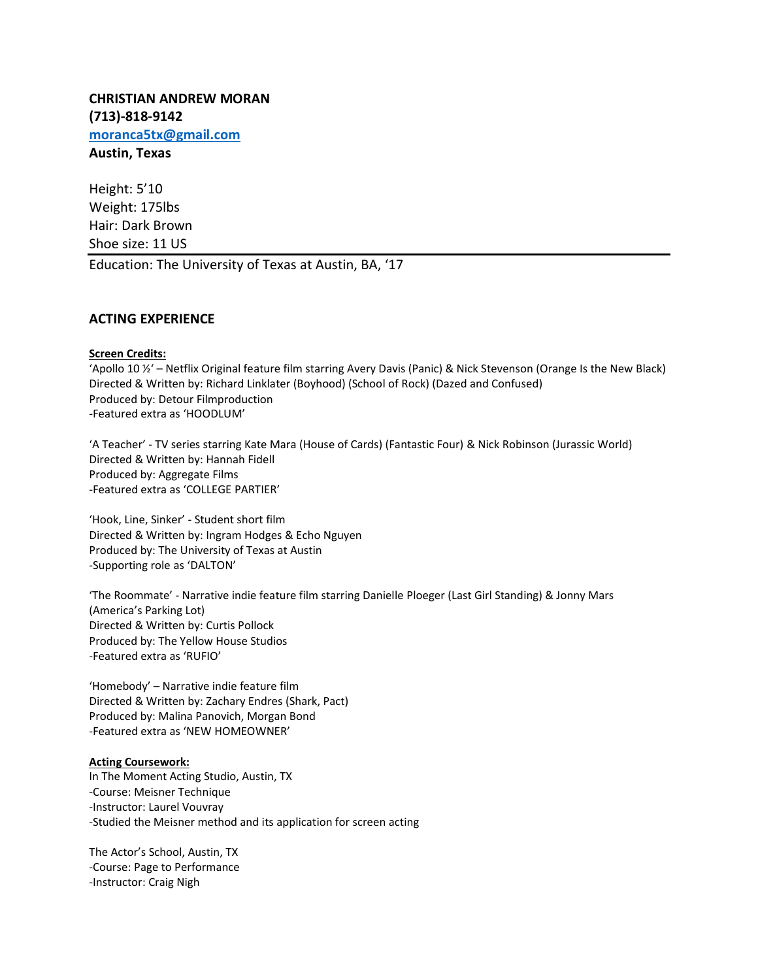**CHRISTIAN ANDREW MORAN (713)-818-9142 [moranca5tx@gmail.com](mailto:moranca5tx@gmail.com) Austin, Texas**

Height: 5'10 Weight: 175lbs Hair: Dark Brown Shoe size: 11 US Education: The University of Texas at Austin, BA, '17

## **ACTING EXPERIENCE**

### **Screen Credits:**

'Apollo 10 ½' – Netflix Original feature film starring Avery Davis (Panic) & Nick Stevenson (Orange Is the New Black) Directed & Written by: Richard Linklater (Boyhood) (School of Rock) (Dazed and Confused) Produced by: Detour Filmproduction -Featured extra as 'HOODLUM'

'A Teacher' - TV series starring Kate Mara (House of Cards) (Fantastic Four) & Nick Robinson (Jurassic World) Directed & Written by: Hannah Fidell Produced by: Aggregate Films -Featured extra as 'COLLEGE PARTIER'

'Hook, Line, Sinker' - Student short film Directed & Written by: Ingram Hodges & Echo Nguyen Produced by: The University of Texas at Austin -Supporting role as 'DALTON'

'The Roommate' - Narrative indie feature film starring Danielle Ploeger (Last Girl Standing) & Jonny Mars (America's Parking Lot) Directed & Written by: Curtis Pollock Produced by: The Yellow House Studios -Featured extra as 'RUFIO'

'Homebody' – Narrative indie feature film Directed & Written by: Zachary Endres (Shark, Pact) Produced by: Malina Panovich, Morgan Bond -Featured extra as 'NEW HOMEOWNER'

#### **Acting Coursework:**

In The Moment Acting Studio, Austin, TX -Course: Meisner Technique -Instructor: Laurel Vouvray -Studied the Meisner method and its application for screen acting

The Actor's School, Austin, TX -Course: Page to Performance -Instructor: Craig Nigh